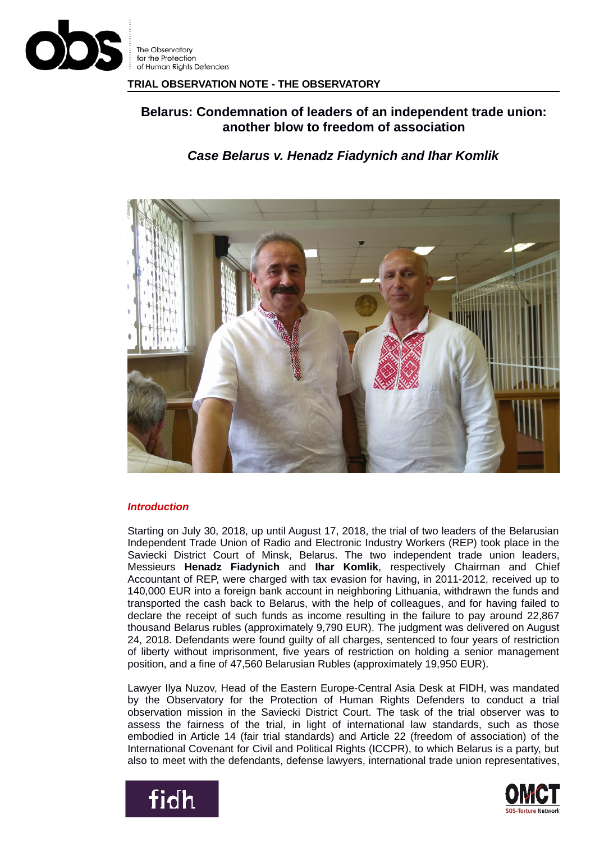

**TRIAL OBSERVATION NOTE - THE OBSERVATORY**

# **Belarus: Condemnation of leaders of an independent trade union: another blow to freedom of association**

## *Case Belarus v. Henadz Fiadynich and Ihar Komlik*



## *Introduction*

Starting on July 30, 2018, up until August 17, 2018, the trial of two leaders of the Belarusian Independent Trade Union of Radio and Electronic Industry Workers (REP) took place in the Saviecki District Court of Minsk, Belarus. The two independent trade union leaders, Messieurs **Henadz Fiadynich** and **Ihar Komlik**, respectively Chairman and Chief Accountant of REP, were charged with tax evasion for having, in 2011-2012, received up to 140,000 EUR into a foreign bank account in neighboring Lithuania, withdrawn the funds and transported the cash back to Belarus, with the help of colleagues, and for having failed to declare the receipt of such funds as income resulting in the failure to pay around 22,867 thousand Belarus rubles (approximately 9,790 EUR). The judgment was delivered on August 24, 2018. Defendants were found guilty of all charges, sentenced to four years of restriction of liberty without imprisonment, five years of restriction on holding a senior management position, and a fine of 47,560 Belarusian Rubles (approximately 19,950 EUR).

Lawyer Ilya Nuzov, Head of the Eastern Europe-Central Asia Desk at FIDH, was mandated by the Observatory for the Protection of Human Rights Defenders to conduct a trial observation mission in the Saviecki District Court. The task of the trial observer was to assess the fairness of the trial, in light of international law standards, such as those embodied in Article 14 (fair trial standards) and Article 22 (freedom of association) of the International Covenant for Civil and Political Rights (ICCPR), to which Belarus is a party, but also to meet with the defendants, defense lawyers, international trade union representatives,



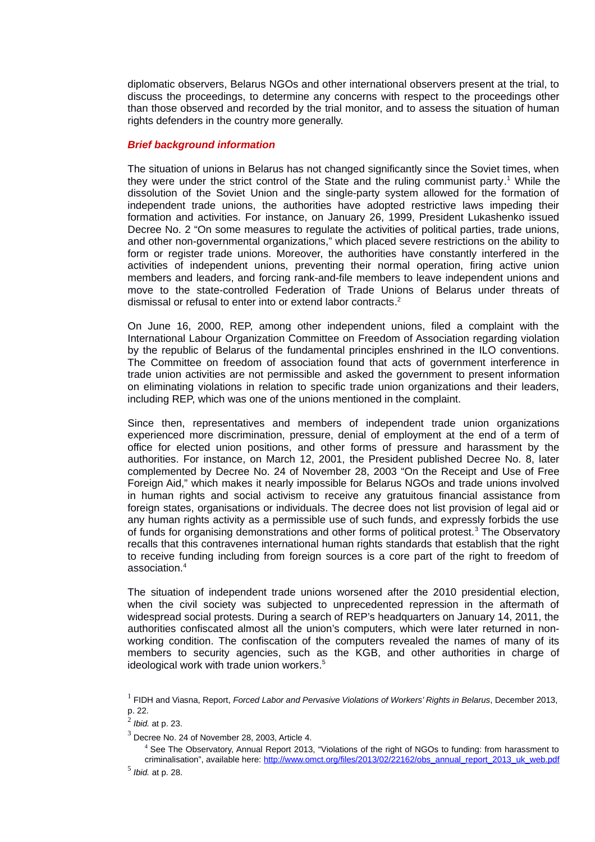diplomatic observers, Belarus NGOs and other international observers present at the trial, to discuss the proceedings, to determine any concerns with respect to the proceedings other than those observed and recorded by the trial monitor, and to assess the situation of human rights defenders in the country more generally.

#### *Brief background information*

The situation of unions in Belarus has not changed significantly since the Soviet times, when they were under the strict control of the State and the ruling communist party.<sup>[1](#page-1-0)</sup> While the dissolution of the Soviet Union and the single-party system allowed for the formation of independent trade unions, the authorities have adopted restrictive laws impeding their formation and activities. For instance, on January 26, 1999, President Lukashenko issued Decree No. 2 "On some measures to regulate the activities of political parties, trade unions, and other non-governmental organizations," which placed severe restrictions on the ability to form or register trade unions. Moreover, the authorities have constantly interfered in the activities of independent unions, preventing their normal operation, firing active union members and leaders, and forcing rank-and-file members to leave independent unions and move to the state-controlled Federation of Trade Unions of Belarus under threats of dismissal or refusal to enter into or extend labor contracts. [2](#page-1-1)

On June 16, 2000, REP, among other independent unions, filed a complaint with the International Labour Organization Committee on Freedom of Association regarding violation by the republic of Belarus of the fundamental principles enshrined in the ILO conventions. The Committee on freedom of association found that acts of government interference in trade union activities are not permissible and asked the government to present information on eliminating violations in relation to specific trade union organizations and their leaders, including REP, which was one of the unions mentioned in the complaint.

Since then, representatives and members of independent trade union organizations experienced more discrimination, pressure, denial of employment at the end of a term of office for elected union positions, and other forms of pressure and harassment by the authorities. For instance, on March 12, 2001, the President published Decree No. 8, later complemented by Decree No. 24 of November 28, 2003 "On the Receipt and Use of Free Foreign Aid," which makes it nearly impossible for Belarus NGOs and trade unions involved in human rights and social activism to receive any gratuitous financial assistance from foreign states, organisations or individuals. The decree does not list provision of legal aid or any human rights activity as a permissible use of such funds, and expressly forbids the use of funds for organising demonstrations and other forms of political protest.<sup>[3](#page-1-2)</sup> The Observatory recalls that this contravenes international human rights standards that establish that the right to receive funding including from foreign sources is a core part of the right to freedom of association.[4](#page-1-3)

The situation of independent trade unions worsened after the 2010 presidential election, when the civil society was subjected to unprecedented repression in the aftermath of widespread social protests. During a search of REP's headquarters on January 14, 2011, the authorities confiscated almost all the union's computers, which were later returned in nonworking condition. The confiscation of the computers revealed the names of many of its members to security agencies, such as the KGB, and other authorities in charge of ideological work with trade union workers.<sup>[5](#page-1-4)</sup>

<span id="page-1-3"></span>4 See The Observatory, Annual Report 2013, "Violations of the right of NGOs to funding: from harassment to criminalisation", available here: [http://www.omct.org/files/2013/02/22162/obs\\_annual\\_report\\_2013\\_uk\\_web.pdf](http://www.omct.org/files/2013/02/22162/obs_annual_report_2013_uk_web.pdf)

<span id="page-1-0"></span><sup>1</sup> FIDH and Viasna, Report, *Forced Labor and Pervasive Violations of Workers' Rights in Belarus*, December 2013, p. 22.

<span id="page-1-1"></span><sup>2</sup>  *Ibid.* at p. 23.

<span id="page-1-2"></span> $^3$  Decree No. 24 of November 28, 2003, Article 4.

<span id="page-1-4"></span><sup>5</sup>  *Ibid.* at p. 28.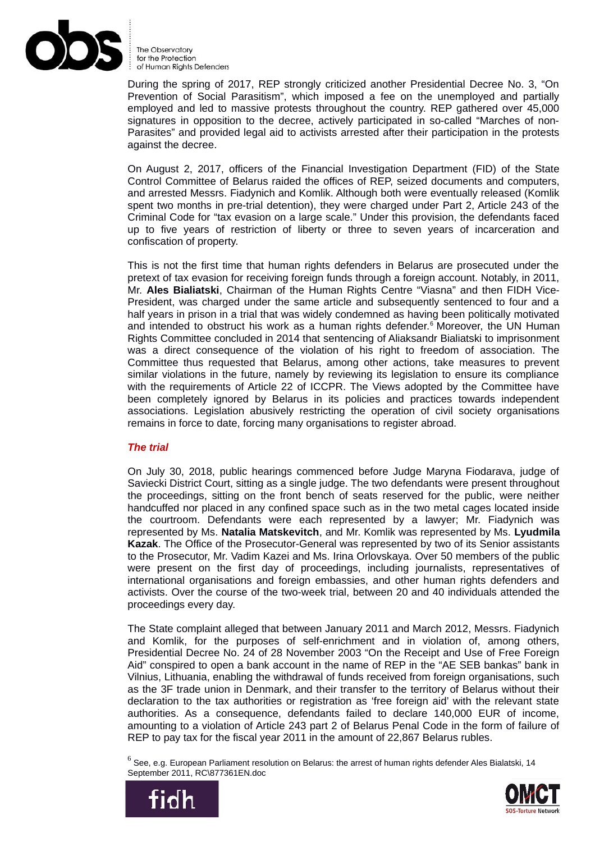

During the spring of 2017, REP strongly criticized another Presidential Decree No. 3, "On Prevention of Social Parasitism", which imposed a fee on the unemployed and partially employed and led to massive protests throughout the country. REP gathered over 45,000 signatures in opposition to the decree, actively participated in so-called "Marches of non-Parasites" and provided legal aid to activists arrested after their participation in the protests against the decree.

On August 2, 2017, officers of the Financial Investigation Department (FID) of the State Control Committee of Belarus raided the offices of REP, seized documents and computers, and arrested Messrs. Fiadynich and Komlik. Although both were eventually released (Komlik spent two months in pre-trial detention), they were charged under Part 2, Article 243 of the Criminal Code for "tax evasion on a large scale." Under this provision, the defendants faced up to five years of restriction of liberty or three to seven years of incarceration and confiscation of property.

This is not the first time that human rights defenders in Belarus are prosecuted under the pretext of tax evasion for receiving foreign funds through a foreign account. Notably, in 2011, Mr. **Ales Bialiatski**, Chairman of the Human Rights Centre "Viasna" and then FIDH Vice-President, was charged under the same article and subsequently sentenced to four and a half years in prison in a trial that was widely condemned as having been politically motivated and intended to obstruct his work as a human rights defender.<sup>[6](#page-2-0)</sup> Moreover, the UN Human Rights Committee concluded in 2014 that sentencing of Aliaksandr Bialiatski to imprisonment was a direct consequence of the violation of his right to freedom of association. The Committee thus requested that Belarus, among other actions, take measures to prevent similar violations in the future, namely by reviewing its legislation to ensure its compliance with the requirements of Article 22 of ICCPR. The Views adopted by the Committee have been completely ignored by Belarus in its policies and practices towards independent associations. Legislation abusively restricting the operation of civil society organisations remains in force to date, forcing many organisations to register abroad.

## *The trial*

On July 30, 2018, public hearings commenced before Judge Maryna Fiodarava, judge of Saviecki District Court, sitting as a single judge. The two defendants were present throughout the proceedings, sitting on the front bench of seats reserved for the public, were neither handcuffed nor placed in any confined space such as in the two metal cages located inside the courtroom. Defendants were each represented by a lawyer; Mr. Fiadynich was represented by Ms. **Natalia Matskevitch**, and Mr. Komlik was represented by Ms. **Lyudmila Kazak**. The Office of the Prosecutor-General was represented by two of its Senior assistants to the Prosecutor, Mr. Vadim Kazei and Ms. Irina Orlovskaya. Over 50 members of the public were present on the first day of proceedings, including journalists, representatives of international organisations and foreign embassies, and other human rights defenders and activists. Over the course of the two-week trial, between 20 and 40 individuals attended the proceedings every day.

The State complaint alleged that between January 2011 and March 2012, Messrs. Fiadynich and Komlik, for the purposes of self-enrichment and in violation of, among others, Presidential Decree No. 24 of 28 November 2003 "On the Receipt and Use of Free Foreign Aid" conspired to open a bank account in the name of REP in the "AE SEB bankas" bank in Vilnius, Lithuania, enabling the withdrawal of funds received from foreign organisations, such as the 3F trade union in Denmark, and their transfer to the territory of Belarus without their declaration to the tax authorities or registration as 'free foreign aid' with the relevant state authorities. As a consequence, defendants failed to declare 140,000 EUR of income, amounting to a violation of Article 243 part 2 of Belarus Penal Code in the form of failure of REP to pay tax for the fiscal year 2011 in the amount of 22,867 Belarus rubles.

<span id="page-2-0"></span> $^6$  See, e.g. European Parliament resolution on Belarus: the arrest of human rights defender Ales Bialatski, 14 September 2011, RC\877361EN.doc



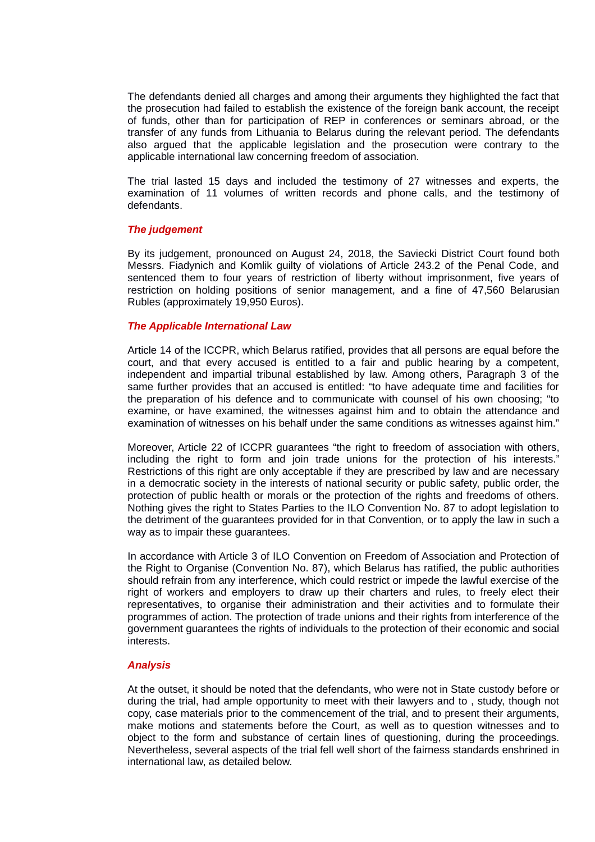The defendants denied all charges and among their arguments they highlighted the fact that the prosecution had failed to establish the existence of the foreign bank account, the receipt of funds, other than for participation of REP in conferences or seminars abroad, or the transfer of any funds from Lithuania to Belarus during the relevant period. The defendants also argued that the applicable legislation and the prosecution were contrary to the applicable international law concerning freedom of association.

The trial lasted 15 days and included the testimony of 27 witnesses and experts, the examination of 11 volumes of written records and phone calls, and the testimony of defendants.

#### *The judgement*

By its judgement, pronounced on August 24, 2018, the Saviecki District Court found both Messrs. Fiadynich and Komlik guilty of violations of Article 243.2 of the Penal Code, and sentenced them to four years of restriction of liberty without imprisonment, five years of restriction on holding positions of senior management, and a fine of 47,560 Belarusian Rubles (approximately 19,950 Euros).

## *The Applicable International Law*

Article 14 of the ICCPR, which Belarus ratified, provides that all persons are equal before the court, and that every accused is entitled to a fair and public hearing by a competent, independent and impartial tribunal established by law. Among others, Paragraph 3 of the same further provides that an accused is entitled: "to have adequate time and facilities for the preparation of his defence and to communicate with counsel of his own choosing; "to examine, or have examined, the witnesses against him and to obtain the attendance and examination of witnesses on his behalf under the same conditions as witnesses against him."

Moreover, Article 22 of ICCPR guarantees "the right to freedom of association with others, including the right to form and join trade unions for the protection of his interests." Restrictions of this right are only acceptable if they are prescribed by law and are necessary in a democratic society in the interests of national security or public safety, public order, the protection of public health or morals or the protection of the rights and freedoms of others. Nothing gives the right to States Parties to the ILO Convention No. 87 to adopt legislation to the detriment of the guarantees provided for in that Convention, or to apply the law in such a way as to impair these guarantees.

In accordance with Article 3 of ILO Convention on Freedom of Association and Protection of the Right to Organise (Convention No. 87), which Belarus has ratified, the public authorities should refrain from any interference, which could restrict or impede the lawful exercise of the right of workers and employers to draw up their charters and rules, to freely elect their representatives, to organise their administration and their activities and to formulate their programmes of action. The protection of trade unions and their rights from interference of the government guarantees the rights of individuals to the protection of their economic and social interests.

## *Analysis*

At the outset, it should be noted that the defendants, who were not in State custody before or during the trial, had ample opportunity to meet with their lawyers and to , study, though not copy, case materials prior to the commencement of the trial, and to present their arguments, make motions and statements before the Court, as well as to question witnesses and to object to the form and substance of certain lines of questioning, during the proceedings. Nevertheless, several aspects of the trial fell well short of the fairness standards enshrined in international law, as detailed below.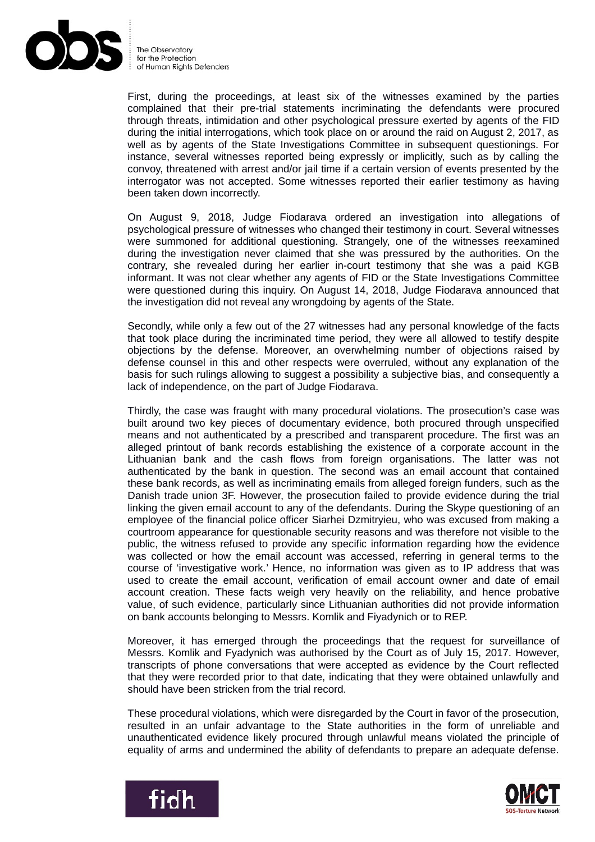

First, during the proceedings, at least six of the witnesses examined by the parties complained that their pre-trial statements incriminating the defendants were procured through threats, intimidation and other psychological pressure exerted by agents of the FID during the initial interrogations, which took place on or around the raid on August 2, 2017, as well as by agents of the State Investigations Committee in subsequent questionings. For instance, several witnesses reported being expressly or implicitly, such as by calling the convoy, threatened with arrest and/or jail time if a certain version of events presented by the interrogator was not accepted. Some witnesses reported their earlier testimony as having been taken down incorrectly.

On August 9, 2018, Judge Fiodarava ordered an investigation into allegations of psychological pressure of witnesses who changed their testimony in court. Several witnesses were summoned for additional questioning. Strangely, one of the witnesses reexamined during the investigation never claimed that she was pressured by the authorities. On the contrary, she revealed during her earlier in-court testimony that she was a paid KGB informant. It was not clear whether any agents of FID or the State Investigations Committee were questioned during this inquiry. On August 14, 2018, Judge Fiodarava announced that the investigation did not reveal any wrongdoing by agents of the State.

Secondly, while only a few out of the 27 witnesses had any personal knowledge of the facts that took place during the incriminated time period, they were all allowed to testify despite objections by the defense. Moreover, an overwhelming number of objections raised by defense counsel in this and other respects were overruled, without any explanation of the basis for such rulings allowing to suggest a possibility a subjective bias, and consequently a lack of independence, on the part of Judge Fiodarava.

Thirdly, the case was fraught with many procedural violations. The prosecution's case was built around two key pieces of documentary evidence, both procured through unspecified means and not authenticated by a prescribed and transparent procedure. The first was an alleged printout of bank records establishing the existence of a corporate account in the Lithuanian bank and the cash flows from foreign organisations. The latter was not authenticated by the bank in question. The second was an email account that contained these bank records, as well as incriminating emails from alleged foreign funders, such as the Danish trade union 3F. However, the prosecution failed to provide evidence during the trial linking the given email account to any of the defendants. During the Skype questioning of an employee of the financial police officer Siarhei Dzmitryieu, who was excused from making a courtroom appearance for questionable security reasons and was therefore not visible to the public, the witness refused to provide any specific information regarding how the evidence was collected or how the email account was accessed, referring in general terms to the course of 'investigative work.' Hence, no information was given as to IP address that was used to create the email account, verification of email account owner and date of email account creation. These facts weigh very heavily on the reliability, and hence probative value, of such evidence, particularly since Lithuanian authorities did not provide information on bank accounts belonging to Messrs. Komlik and Fiyadynich or to REP.

Moreover, it has emerged through the proceedings that the request for surveillance of Messrs. Komlik and Fyadynich was authorised by the Court as of July 15, 2017. However, transcripts of phone conversations that were accepted as evidence by the Court reflected that they were recorded prior to that date, indicating that they were obtained unlawfully and should have been stricken from the trial record.

These procedural violations, which were disregarded by the Court in favor of the prosecution, resulted in an unfair advantage to the State authorities in the form of unreliable and unauthenticated evidence likely procured through unlawful means violated the principle of equality of arms and undermined the ability of defendants to prepare an adequate defense.



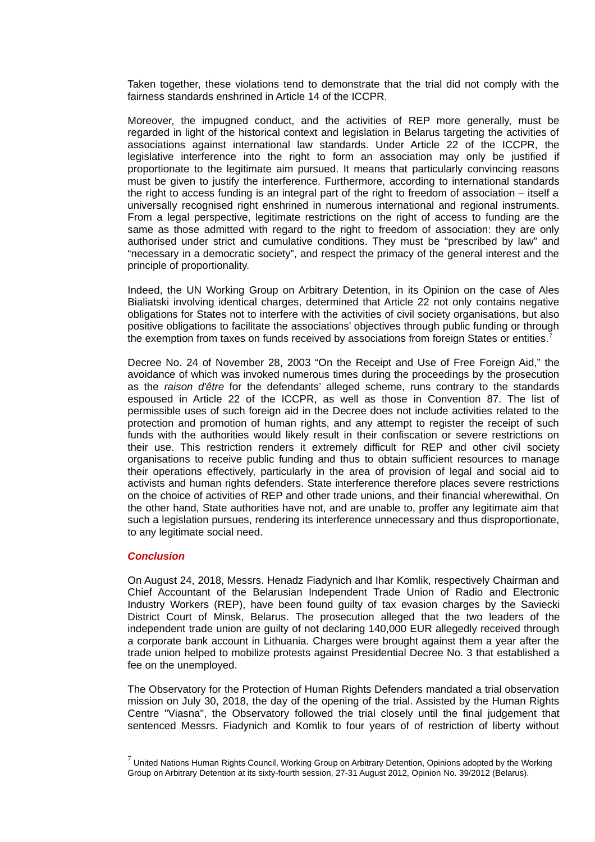Taken together, these violations tend to demonstrate that the trial did not comply with the fairness standards enshrined in Article 14 of the ICCPR.

Moreover, the impugned conduct, and the activities of REP more generally, must be regarded in light of the historical context and legislation in Belarus targeting the activities of associations against international law standards. Under Article 22 of the ICCPR, the legislative interference into the right to form an association may only be justified if proportionate to the legitimate aim pursued. It means that particularly convincing reasons must be given to justify the interference. Furthermore, according to international standards the right to access funding is an integral part of the right to freedom of association – itself a universally recognised right enshrined in numerous international and regional instruments. From a legal perspective, legitimate restrictions on the right of access to funding are the same as those admitted with regard to the right to freedom of association: they are only authorised under strict and cumulative conditions. They must be "prescribed by law" and "necessary in a democratic society", and respect the primacy of the general interest and the principle of proportionality.

Indeed, the UN Working Group on Arbitrary Detention, in its Opinion on the case of Ales Bialiatski involving identical charges, determined that Article 22 not only contains negative obligations for States not to interfere with the activities of civil society organisations, but also positive obligations to facilitate the associations' objectives through public funding or through the exemption from taxes on funds received by associations from foreign States or entities.<sup>[7](#page-5-0)</sup>

Decree No. 24 of November 28, 2003 "On the Receipt and Use of Free Foreign Aid," the avoidance of which was invoked numerous times during the proceedings by the prosecution as the *raison d'être* for the defendants' alleged scheme, runs contrary to the standards espoused in Article 22 of the ICCPR, as well as those in Convention 87. The list of permissible uses of such foreign aid in the Decree does not include activities related to the protection and promotion of human rights, and any attempt to register the receipt of such funds with the authorities would likely result in their confiscation or severe restrictions on their use. This restriction renders it extremely difficult for REP and other civil society organisations to receive public funding and thus to obtain sufficient resources to manage their operations effectively, particularly in the area of provision of legal and social aid to activists and human rights defenders. State interference therefore places severe restrictions on the choice of activities of REP and other trade unions, and their financial wherewithal. On the other hand, State authorities have not, and are unable to, proffer any legitimate aim that such a legislation pursues, rendering its interference unnecessary and thus disproportionate, to any legitimate social need.

#### *Conclusion*

On August 24, 2018, Messrs. Henadz Fiadynich and Ihar Komlik, respectively Chairman and Chief Accountant of the Belarusian Independent Trade Union of Radio and Electronic Industry Workers (REP), have been found guilty of tax evasion charges by the Saviecki District Court of Minsk, Belarus. The prosecution alleged that the two leaders of the independent trade union are guilty of not declaring 140,000 EUR allegedly received through a corporate bank account in Lithuania. Charges were brought against them a year after the trade union helped to mobilize protests against Presidential Decree No. 3 that established a fee on the unemployed.

The Observatory for the Protection of Human Rights Defenders mandated a trial observation mission on July 30, 2018, the day of the opening of the trial. Assisted by the Human Rights Centre "Viasna", the Observatory followed the trial closely until the final judgement that sentenced Messrs. Fiadynich and Komlik to four years of of restriction of liberty without

<span id="page-5-0"></span> $^7$  United Nations Human Rights Council, Working Group on Arbitrary Detention, Opinions adopted by the Working Group on Arbitrary Detention at its sixty-fourth session, 27-31 August 2012, Opinion No. 39/2012 (Belarus).